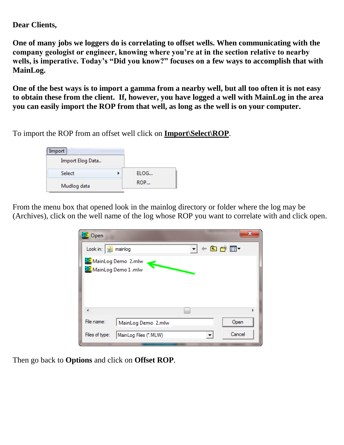## **Dear Clients,**

**One of many jobs we loggers do is correlating to offset wells. When communicating with the company geologist or engineer, knowing where you're at in the section relative to nearby wells, is imperative. Today's "Did you know?" focuses on a few ways to accomplish that with MainLog.**

**One of the best ways is to import a gamma from a nearby well, but all too often it is not easy to obtain these from the client. If, however, you have logged a well with MainLog in the area you can easily import the ROP from that well, as long as the well is on your computer.**

To import the ROP from an offset well click on **Import\Select\ROP**.

| Import           |      |
|------------------|------|
| Import Elog Data |      |
| <b>Select</b>    | ELOG |
| Mudlog data      | ROP  |

From the menu box that opened look in the mainlog directory or folder where the log may be (Archives), click on the well name of the log whose ROP you want to correlate with and click open.

| 三 Open                                    |                       |  |        | x |
|-------------------------------------------|-----------------------|--|--------|---|
| Look in: $\frac{1}{32}$ mainlog           |                       |  | ←白び囲▼  |   |
| MainLog Demo 2.mlw<br>MainLog Demo 1 .mlw | €                     |  |        |   |
| ∢                                         |                       |  |        | Þ |
| File name:                                | MainLog Demo 2.mlw    |  | Open   |   |
| Files of type:                            | MainLog Files (*.MLW) |  | Cancel |   |

Then go back to **Options** and click on **Offset ROP**.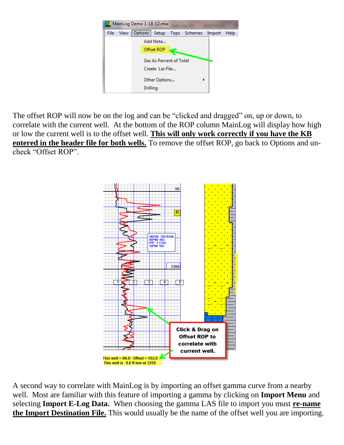

The offset ROP will now be on the log and can be "clicked and dragged" on, up or down, to correlate with the current well. At the bottom of the ROP column MainLog will display how high or low the current well is to the offset well. **This will only work correctly if you have the KB entered in the header file for both wells.** To remove the offset ROP, go back to Options and uncheck "Offset ROP".



A second way to correlate with MainLog is by importing an offset gamma curve from a nearby well. Most are familiar with this feature of importing a gamma by clicking on **Import Menu** and selecting **Import E-Log Data.** When choosing the gamma LAS file to import you must **re-name the Import Destination File.** This would usually be the name of the offset well you are importing.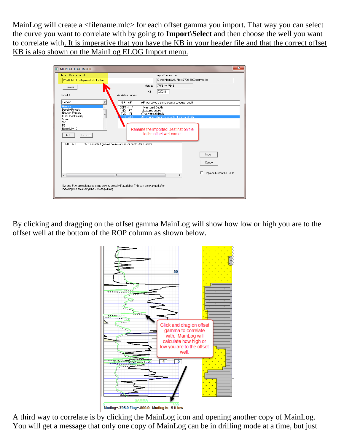MainLog will create a <filename.mlc> for each offset gamma you import. That way you can select the curve you want to correlate with by going to **Import\Select** and then choose the well you want to correlate with. It is imperative that you have the KB in your header file and that the correct offset KB is also shown on the MainLog ELOG Import menu.

| MAINLOG ELOG IMPORT                                                                                                                      | $\mathbf{x}$                                 |  |  |  |  |
|------------------------------------------------------------------------------------------------------------------------------------------|----------------------------------------------|--|--|--|--|
| <b>Import Destination file</b>                                                                                                           | Import Source File                           |  |  |  |  |
| C:\MAINLOG\Raymond No 1 offset                                                                                                           | C:\mainlog\LAS Files\7700-9900-gamma.las     |  |  |  |  |
| Browse                                                                                                                                   | 7766 to 9943<br>Interval:                    |  |  |  |  |
|                                                                                                                                          | KB<br>3362.0                                 |  |  |  |  |
| Available Curves<br>Import As                                                                                                            |                                              |  |  |  |  |
| Gamma<br>GR API<br>▼                                                                                                                     | :API corrected gamma counts at sensor depth. |  |  |  |  |
| Gamma<br>DEPTH .F<br>Density Porosity                                                                                                    | :Measured Depth                              |  |  |  |  |
| MD .FT<br>Neutron Porosity<br>Ξ<br>TVD .FT                                                                                               | :Measured depth.<br>:True vertical depth.    |  |  |  |  |
| Cross Plot Porosity<br>GR API<br>Sonic                                                                                                   | :API corrected gamma counts at sensor depth. |  |  |  |  |
| SP<br>PE                                                                                                                                 |                                              |  |  |  |  |
| Resistivity 10                                                                                                                           | Rename the Imported Destination file         |  |  |  |  |
| ADD<br>Remove                                                                                                                            | to the offset well name                      |  |  |  |  |
|                                                                                                                                          |                                              |  |  |  |  |
| API<br>GR.<br>:API corrected gamma counts at sensor depth. AS. Gamma                                                                     |                                              |  |  |  |  |
|                                                                                                                                          |                                              |  |  |  |  |
|                                                                                                                                          | Import                                       |  |  |  |  |
|                                                                                                                                          | Cancel                                       |  |  |  |  |
|                                                                                                                                          |                                              |  |  |  |  |
|                                                                                                                                          | Replace Current MLC File                     |  |  |  |  |
| m.<br>$\blacktriangleleft$                                                                                                               | k                                            |  |  |  |  |
|                                                                                                                                          |                                              |  |  |  |  |
| Sw and BVw are calculated using density porosity if available. This can be changed after<br>importing the data using the Sw setup dialog |                                              |  |  |  |  |
|                                                                                                                                          |                                              |  |  |  |  |
|                                                                                                                                          |                                              |  |  |  |  |

By clicking and dragging on the offset gamma MainLog will show how low or high you are to the offset well at the bottom of the ROP column as shown below.



A third way to correlate is by clicking the MainLog icon and opening another copy of MainLog. You will get a message that only one copy of MainLog can be in drilling mode at a time, but just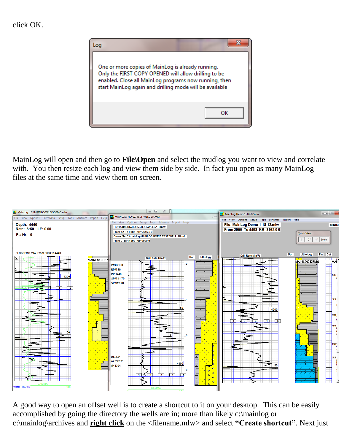## click OK.



MainLog will open and then go to **File\Open** and select the mudlog you want to view and correlate with. You then resize each log and view them side by side. In fact you open as many MainLog files at the same time and view them on screen.



A good way to open an offset well is to create a shortcut to it on your desktop. This can be easily accomplished by going the directory the wells are in; more than likely c:\mainlog or c:\mainlog\archives and **right click** on the <filename.mlw> and select **"Create shortcut"**. Next just